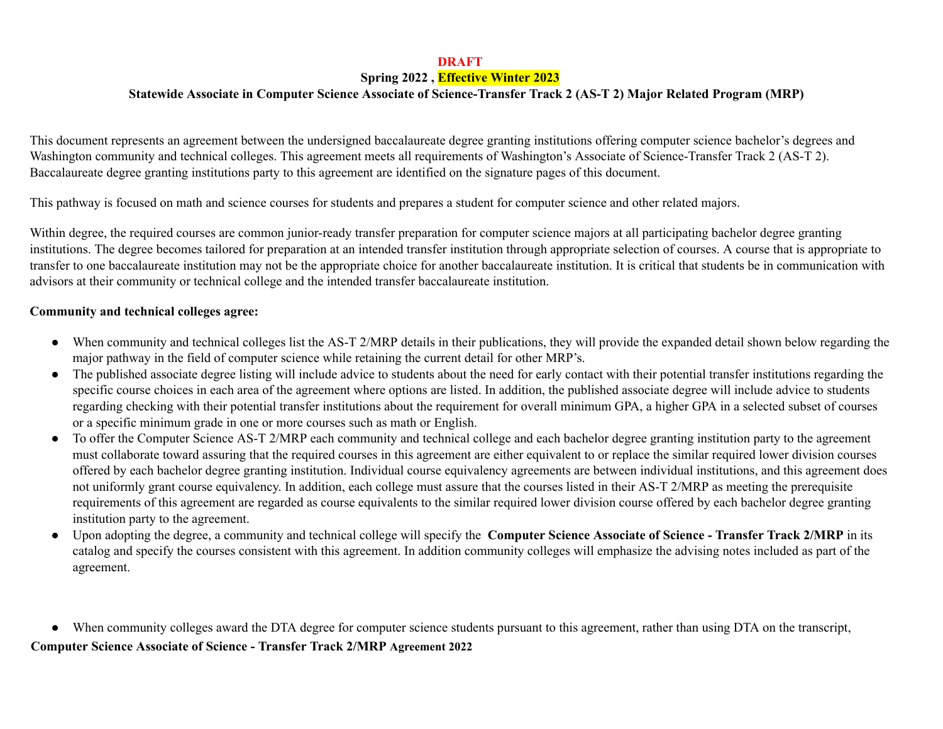#### **DRAFT**

### **Spring 2022 , Effective Winter 2023**

# Statewide Associate in Computer Science Associate of Science-Transfer Track 2 (AS-T 2) Major Related Program (MRP)

This document represents an agreement between the undersigned baccalaureate degree granting institutions offering computer science bachelor's degrees and Washington community and technical colleges. This agreement meets all requirements of Washington's Associate of Science-Transfer Track 2 (AS-T 2). Baccalaureate degree granting institutions party to this agreement are identified on the signature pages of this document.

This pathway is focused on math and science courses for students and prepares a student for computer science and other related majors.

Within degree, the required courses are common junior-ready transfer preparation for computer science majors at all participating bachelor degree granting institutions. The degree becomes tailored for preparation at an intended transfer institution through appropriate selection of courses. A course that is appropriate to transfer to one baccalaureate institution may not be the appropriate choice for another baccalaureate institution. It is critical that students be in communication with advisors at their community or technical college and the intended transfer baccalaureate institution.

### **Community and technical colleges agree:**

- When community and technical colleges list the AS-T 2/MRP details in their publications, they will provide the expanded detail shown below regarding the major pathway in the field of computer science while retaining the current detail for other MRP's.
- The published associate degree listing will include advice to students about the need for early contact with their potential transfer institutions regarding the specific course choices in each area of the agreement where options are listed. In addition, the published associate degree will include advice to students regarding checking with their potential transfer institutions about the requirement for overall minimum GPA, a higher GPA in a selected subset of courses or a specific minimum grade in one or more courses such as math or English.
- To offer the Computer Science AS-T 2/MRP each community and technical college and each bachelor degree granting institution party to the agreement must collaborate toward assuring that the required courses in this agreement are either equivalent to or replace the similar required lower division courses offered by each bachelor degree granting institution. Individual course equivalency agreements are between individual institutions, and this agreement does not uniformly grant course equivalency. In addition, each college must assure that the courses listed in their AS-T 2/MRP as meeting the prerequisite requirements of this agreement are regarded as course equivalents to the similar required lower division course offered by each bachelor degree granting institution party to the agreement.
- Upon adopting the degree, a community and technical college will specify the **Computer Science Associate of Science - Transfer Track 2/MRP** in its catalog and specify the courses consistent with this agreement. In addition community colleges will emphasize the advising notes included as part of the agreement.

● When community colleges award the DTA degree for computer science students pursuant to this agreement, rather than using DTA on the transcript, **Computer Science Associate of Science - Transfer Track 2/MRP Agreement 2022**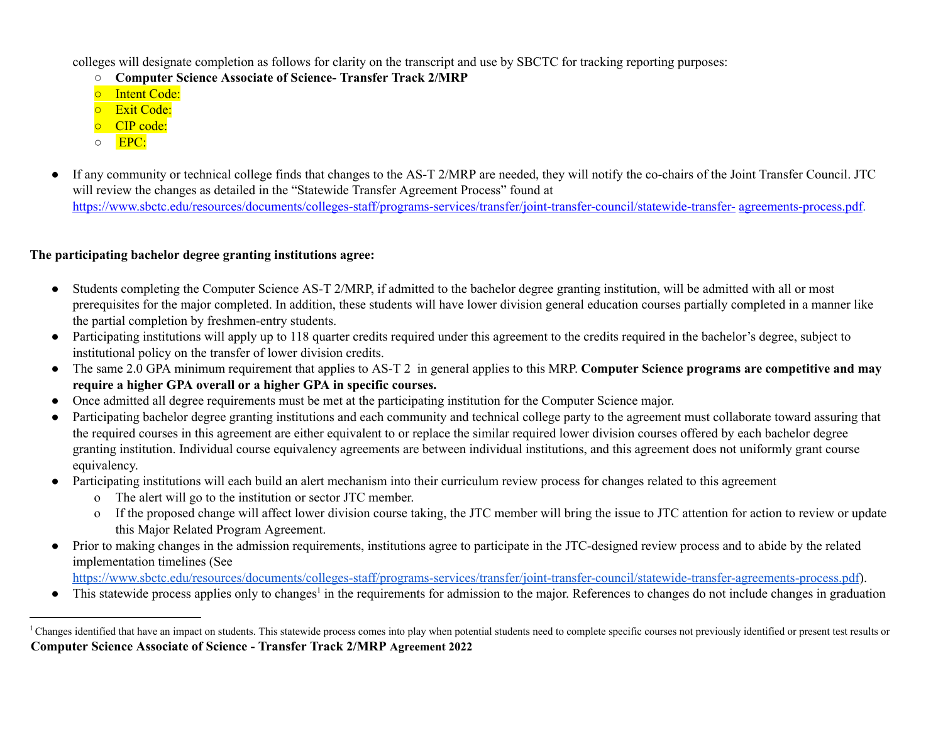colleges will designate completion as follows for clarity on the transcript and use by SBCTC for tracking reporting purposes:

- **○ Computer Science Associate of Science- Transfer Track 2/MRP**
- Intent Code:
- Exit Code:
- CIP code:
- EPC:
- If any community or technical college finds that changes to the AS-T 2/MRP are needed, they will notify the co-chairs of the Joint Transfer Council. JTC will review the changes as detailed in the "Statewide Transfer Agreement Process" found a[t](https://www.sbctc.edu/resources/documents/colleges-staff/programs-services/transfer/joint-transfer-council/statewide-transfer-agreements-process.pdf) [https://www.sbctc.edu/resources/documents/colleges-staff/programs-services/transfer/joint-transfer-council/statewide-transfer-](https://www.sbctc.edu/resources/documents/colleges-staff/programs-services/transfer/joint-transfer-council/statewide-transfer-agreements-process.pdf) agreements-process.pdf.

## **The participating bachelor degree granting institutions agree:**

- Students completing the Computer Science AS-T 2/MRP, if admitted to the bachelor degree granting institution, will be admitted with all or most prerequisites for the major completed. In addition, these students will have lower division general education courses partially completed in a manner like the partial completion by freshmen-entry students.
- **●** Participating institutions will apply up to 118 quarter credits required under this agreement to the credits required in the bachelor's degree, subject to institutional policy on the transfer of lower division credits.
- The same 2.0 GPA minimum requirement that applies to AS-T 2 in general applies to this MRP. **Computer Science programs are competitive and may require a higher GPA overall or a higher GPA in specific courses.**
- Once admitted all degree requirements must be met at the participating institution for the Computer Science major.
- Participating bachelor degree granting institutions and each community and technical college party to the agreement must collaborate toward assuring that the required courses in this agreement are either equivalent to or replace the similar required lower division courses offered by each bachelor degree granting institution. Individual course equivalency agreements are between individual institutions, and this agreement does not uniformly grant course equivalency.
- Participating institutions will each build an alert mechanism into their curriculum review process for changes related to this agreement
	- o The alert will go to the institution or sector JTC member.
	- o If the proposed change will affect lower division course taking, the JTC member will bring the issue to JTC attention for action to review or update this Major Related Program Agreement.
- Prior to making changes in the admission requirements, institutions agree to participate in the JTC-designed review process and to abide by the related implementation timelines (See

[https://www.sbctc.edu/resources/documents/colleges-staff/programs-services/transfer/joint-transfer-council/statewide-transfer-agreements-process.pdf\)](https://www.sbctc.edu/resources/documents/colleges-staff/programs-services/transfer/joint-transfer-council/statewide-transfer-agreements-process.pdf).

• This statewide process applies only to changes<sup>1</sup> in the requirements for admission to the major. References to changes do not include changes in graduation

<sup>&</sup>lt;sup>1</sup> Changes identified that have an impact on students. This statewide process comes into play when potential students need to complete specific courses not previously identified or present test results or **Computer Science Associate of Science - Transfer Track 2/MRP Agreement 2022**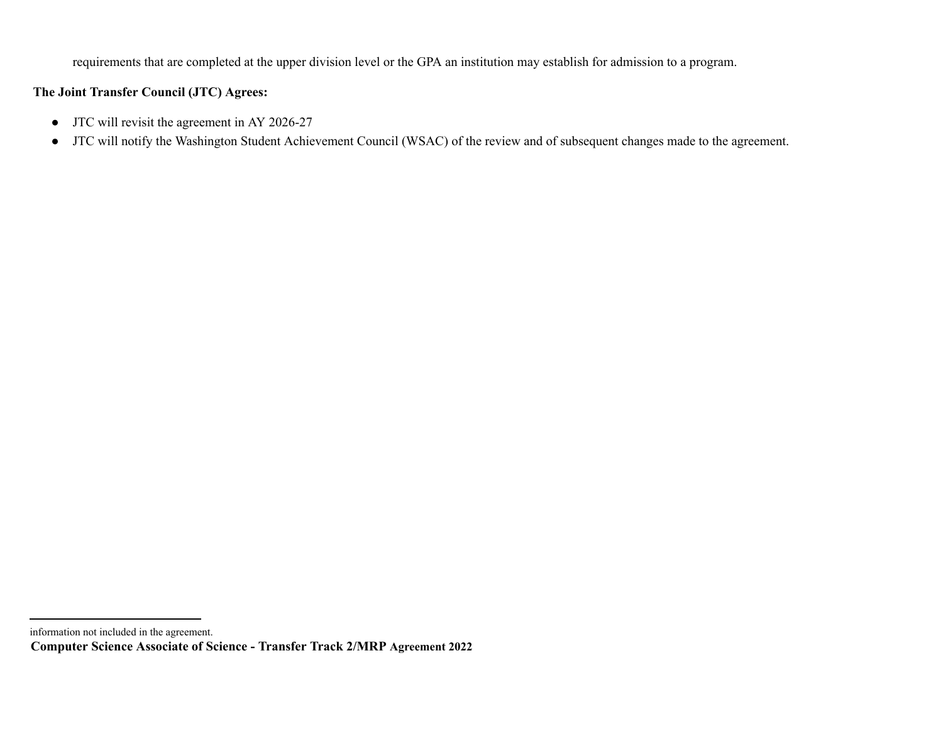requirements that are completed at the upper division level or the GPA an institution may establish for admission to a program.

### **The Joint Transfer Council (JTC) Agrees:**

- JTC will revisit the agreement in AY 2026-27
- JTC will notify the Washington Student Achievement Council (WSAC) of the review and of subsequent changes made to the agreement.

information not included in the agreement.

**Computer Science Associate of Science - Transfer Track 2/MRP Agreement 2022**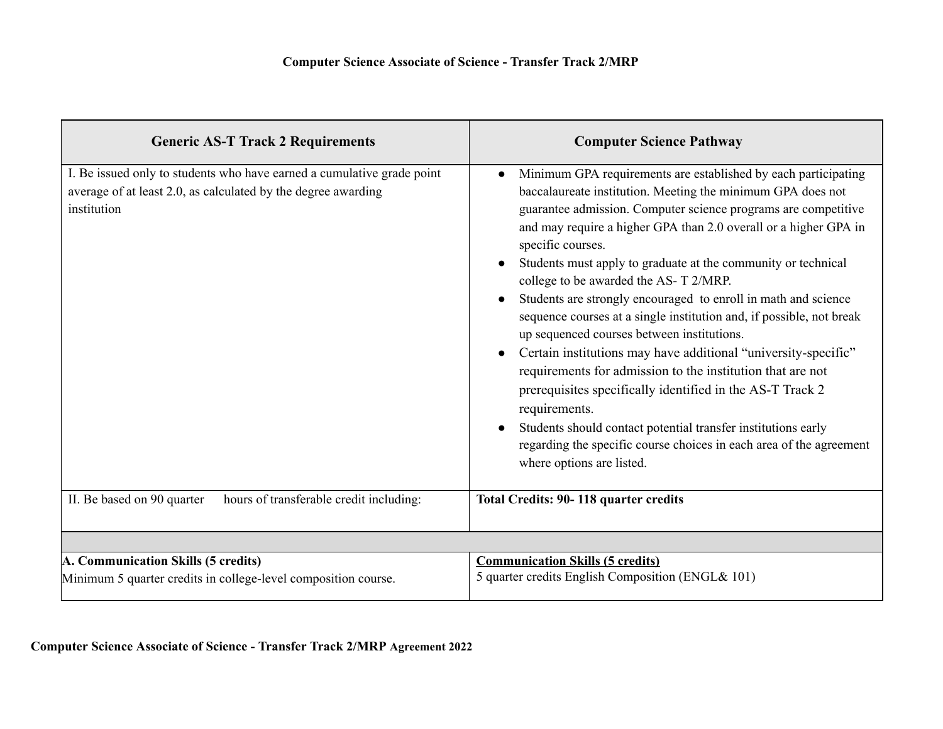| <b>Generic AS-T Track 2 Requirements</b>                                                                                                               | <b>Computer Science Pathway</b>                                                                                                                                                                                                                                                                                                                                                                                                                                                                                                                                                                                                                                                                                                                                                                                                                                                                                                                                                            |
|--------------------------------------------------------------------------------------------------------------------------------------------------------|--------------------------------------------------------------------------------------------------------------------------------------------------------------------------------------------------------------------------------------------------------------------------------------------------------------------------------------------------------------------------------------------------------------------------------------------------------------------------------------------------------------------------------------------------------------------------------------------------------------------------------------------------------------------------------------------------------------------------------------------------------------------------------------------------------------------------------------------------------------------------------------------------------------------------------------------------------------------------------------------|
| I. Be issued only to students who have earned a cumulative grade point<br>average of at least 2.0, as calculated by the degree awarding<br>institution | Minimum GPA requirements are established by each participating<br>$\bullet$<br>baccalaureate institution. Meeting the minimum GPA does not<br>guarantee admission. Computer science programs are competitive<br>and may require a higher GPA than 2.0 overall or a higher GPA in<br>specific courses.<br>Students must apply to graduate at the community or technical<br>college to be awarded the AS-T 2/MRP.<br>Students are strongly encouraged to enroll in math and science<br>sequence courses at a single institution and, if possible, not break<br>up sequenced courses between institutions.<br>Certain institutions may have additional "university-specific"<br>requirements for admission to the institution that are not<br>prerequisites specifically identified in the AS-T Track 2<br>requirements.<br>Students should contact potential transfer institutions early<br>regarding the specific course choices in each area of the agreement<br>where options are listed. |
| hours of transferable credit including:<br>II. Be based on 90 quarter                                                                                  | <b>Total Credits: 90-118 quarter credits</b>                                                                                                                                                                                                                                                                                                                                                                                                                                                                                                                                                                                                                                                                                                                                                                                                                                                                                                                                               |
|                                                                                                                                                        |                                                                                                                                                                                                                                                                                                                                                                                                                                                                                                                                                                                                                                                                                                                                                                                                                                                                                                                                                                                            |
| A. Communication Skills (5 credits)                                                                                                                    | <b>Communication Skills (5 credits)</b>                                                                                                                                                                                                                                                                                                                                                                                                                                                                                                                                                                                                                                                                                                                                                                                                                                                                                                                                                    |
| Minimum 5 quarter credits in college-level composition course.                                                                                         | 5 quarter credits English Composition (ENGL& 101)                                                                                                                                                                                                                                                                                                                                                                                                                                                                                                                                                                                                                                                                                                                                                                                                                                                                                                                                          |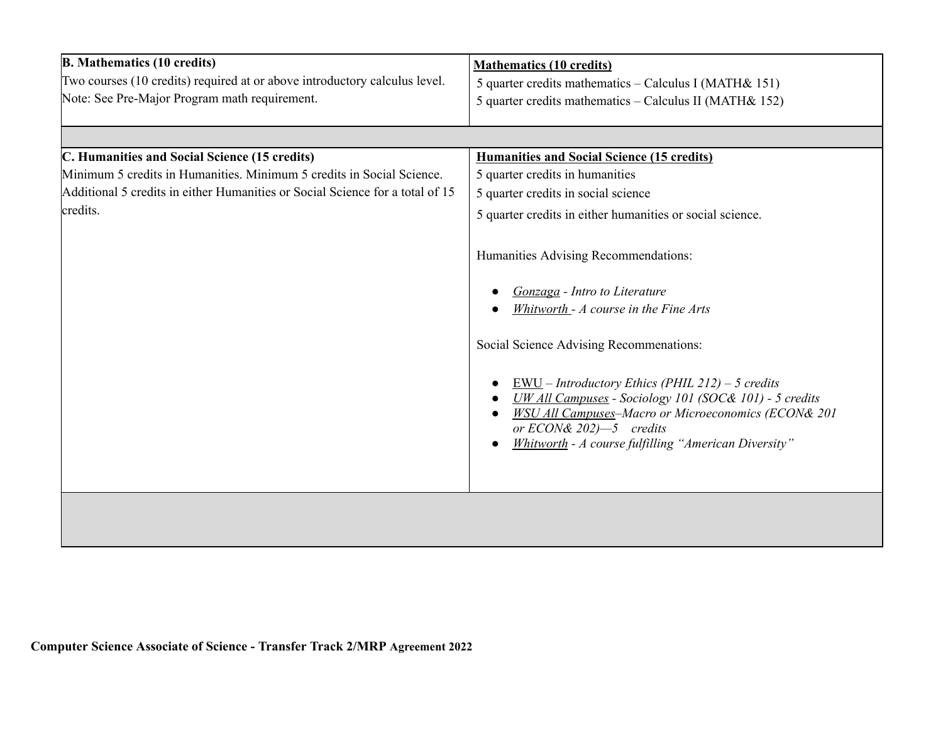| <b>B.</b> Mathematics (10 credits)                                            | <b>Mathematics (10 credits)</b>                                                           |  |  |  |
|-------------------------------------------------------------------------------|-------------------------------------------------------------------------------------------|--|--|--|
| Two courses (10 credits) required at or above introductory calculus level.    | 5 quarter credits mathematics - Calculus I (MATH& 151)                                    |  |  |  |
| Note: See Pre-Major Program math requirement.                                 | 5 quarter credits mathematics - Calculus II (MATH& 152)                                   |  |  |  |
|                                                                               |                                                                                           |  |  |  |
|                                                                               |                                                                                           |  |  |  |
| C. Humanities and Social Science (15 credits)                                 | <b>Humanities and Social Science (15 credits)</b>                                         |  |  |  |
| Minimum 5 credits in Humanities. Minimum 5 credits in Social Science.         | 5 quarter credits in humanities                                                           |  |  |  |
| Additional 5 credits in either Humanities or Social Science for a total of 15 | 5 quarter credits in social science                                                       |  |  |  |
| credits.                                                                      | 5 quarter credits in either humanities or social science.                                 |  |  |  |
|                                                                               |                                                                                           |  |  |  |
|                                                                               | Humanities Advising Recommendations:                                                      |  |  |  |
|                                                                               |                                                                                           |  |  |  |
|                                                                               | Gonzaga - Intro to Literature                                                             |  |  |  |
|                                                                               | Whitworth - A course in the Fine Arts                                                     |  |  |  |
|                                                                               |                                                                                           |  |  |  |
|                                                                               | Social Science Advising Recommenations:                                                   |  |  |  |
|                                                                               |                                                                                           |  |  |  |
|                                                                               | $\underline{EWU}$ – Introductory Ethics (PHIL 212) – 5 credits                            |  |  |  |
|                                                                               | UW All Campuses - Sociology 101 (SOC& 101) - 5 credits                                    |  |  |  |
|                                                                               | <b>WSU All Campuses-Macro or Microeconomics (ECON&amp; 201</b><br>or ECON& 202)-5 credits |  |  |  |
|                                                                               | Whitworth - A course fulfilling "American Diversity"                                      |  |  |  |
|                                                                               |                                                                                           |  |  |  |
|                                                                               |                                                                                           |  |  |  |
|                                                                               |                                                                                           |  |  |  |
|                                                                               |                                                                                           |  |  |  |
|                                                                               |                                                                                           |  |  |  |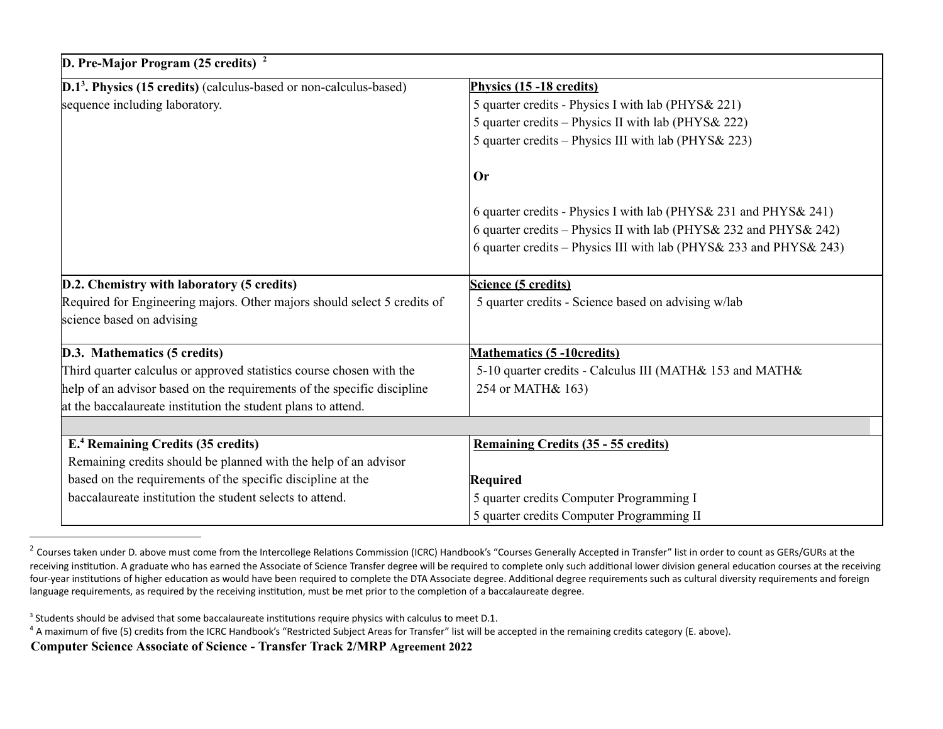| D. Pre-Major Program (25 credits) $^2$                                   |                                                                    |  |  |
|--------------------------------------------------------------------------|--------------------------------------------------------------------|--|--|
| $D.13$ . Physics (15 credits) (calculus-based or non-calculus-based)     | Physics (15 -18 credits)                                           |  |  |
| sequence including laboratory.                                           | 5 quarter credits - Physics I with lab (PHYS& 221)                 |  |  |
|                                                                          | 5 quarter credits - Physics II with lab (PHYS& 222)                |  |  |
|                                                                          | 5 quarter credits - Physics III with lab (PHYS& 223)               |  |  |
|                                                                          | Or                                                                 |  |  |
|                                                                          | 6 quarter credits - Physics I with lab (PHYS& 231 and PHYS& 241)   |  |  |
|                                                                          | 6 quarter credits - Physics II with lab (PHYS& 232 and PHYS& 242)  |  |  |
|                                                                          | 6 quarter credits - Physics III with lab (PHYS& 233 and PHYS& 243) |  |  |
| D.2. Chemistry with laboratory (5 credits)                               | Science (5 credits)                                                |  |  |
| Required for Engineering majors. Other majors should select 5 credits of | 5 quarter credits - Science based on advising w/lab                |  |  |
| science based on advising                                                |                                                                    |  |  |
| D.3. Mathematics (5 credits)                                             | <b>Mathematics (5 -10credits)</b>                                  |  |  |
| Third quarter calculus or approved statistics course chosen with the     | 5-10 quarter credits - Calculus III (MATH& 153 and MATH&           |  |  |
| help of an advisor based on the requirements of the specific discipline  | 254 or MATH& 163)                                                  |  |  |
| at the baccalaureate institution the student plans to attend.            |                                                                    |  |  |
|                                                                          |                                                                    |  |  |
| E. <sup>4</sup> Remaining Credits (35 credits)                           | <b>Remaining Credits (35 - 55 credits)</b>                         |  |  |
| Remaining credits should be planned with the help of an advisor          |                                                                    |  |  |
| based on the requirements of the specific discipline at the              | <b>Required</b>                                                    |  |  |
| baccalaureate institution the student selects to attend.                 | 5 quarter credits Computer Programming I                           |  |  |
|                                                                          | 5 quarter credits Computer Programming II                          |  |  |

 $2$  Courses taken under D. above must come from the Intercollege Relations Commission (ICRC) Handbook's "Courses Generally Accepted in Transfer" list in order to count as GERs/GURs at the receiving institution. A graduate who has earned the Associate of Science Transfer degree will be required to complete only such additional lower division general education courses at the receiving four-year institutions of higher education as would have been required to complete the DTA Associate degree. Additional degree requirements such as cultural diversity requirements and foreign language requirements, as required by the receiving institution, must be met prior to the completion of a baccalaureate degree.

<sup>&</sup>lt;sup>3</sup> Students should be advised that some baccalaureate institutions require physics with calculus to meet D.1.

<sup>&</sup>lt;sup>4</sup> A maximum of five (5) credits from the ICRC Handbook's "Restricted Subject Areas for Transfer" list will be accepted in the remaining credits category (E. above).

**Computer Science Associate of Science - Transfer Track 2/MRP Agreement 2022**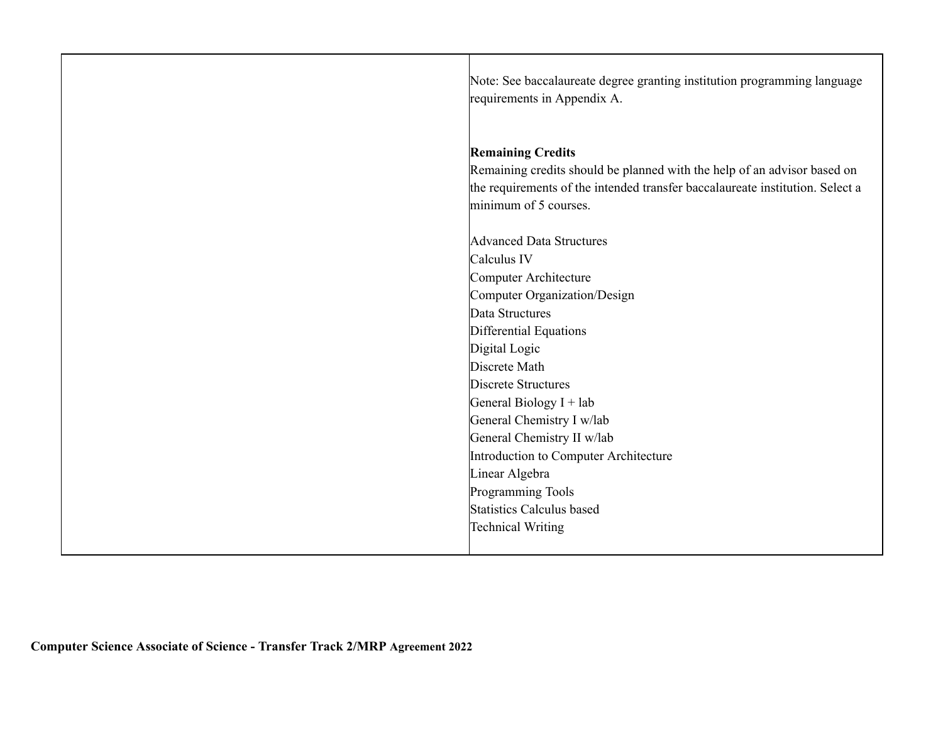| Note: See baccalaureate degree granting institution programming language      |
|-------------------------------------------------------------------------------|
| requirements in Appendix A.                                                   |
| <b>Remaining Credits</b>                                                      |
| Remaining credits should be planned with the help of an advisor based on      |
| the requirements of the intended transfer baccalaureate institution. Select a |
| minimum of 5 courses.                                                         |
| <b>Advanced Data Structures</b>                                               |
| Calculus IV                                                                   |
| Computer Architecture                                                         |
| Computer Organization/Design                                                  |
| Data Structures                                                               |
| Differential Equations                                                        |
| Digital Logic                                                                 |
| Discrete Math                                                                 |
| Discrete Structures                                                           |
| General Biology $I + lab$                                                     |
| General Chemistry I w/lab                                                     |
| General Chemistry II w/lab                                                    |
| Introduction to Computer Architecture                                         |
| Linear Algebra                                                                |
| Programming Tools                                                             |
| Statistics Calculus based                                                     |
| <b>Technical Writing</b>                                                      |
|                                                                               |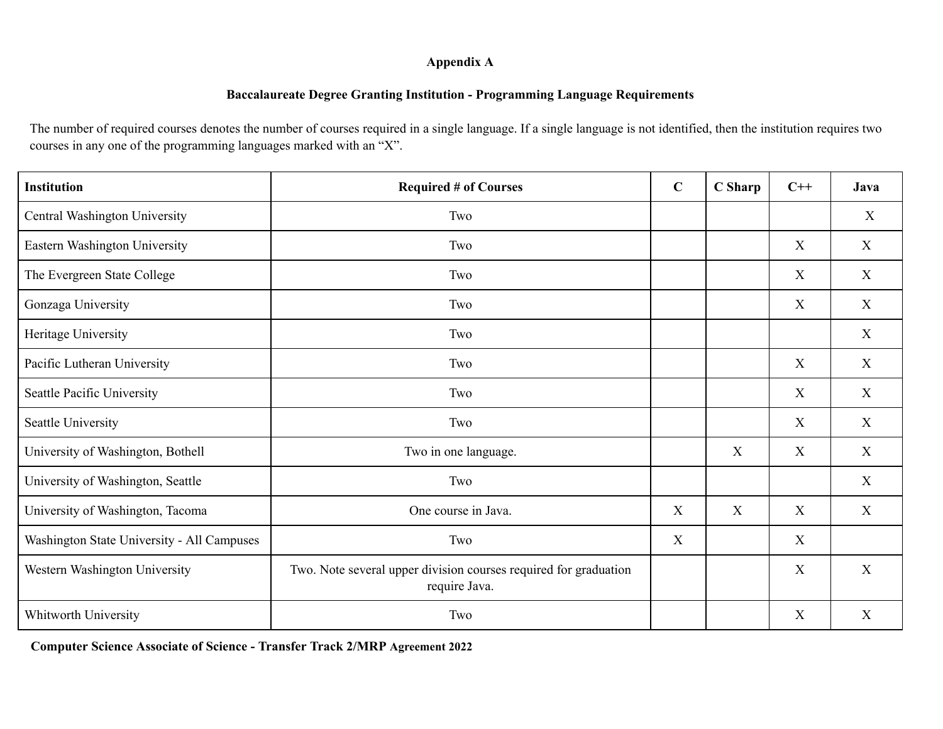### **Appendix A**

# **Baccalaureate Degree Granting Institution - Programming Language Requirements**

The number of required courses denotes the number of courses required in a single language. If a single language is not identified, then the institution requires two courses in any one of the programming languages marked with an "X".

| <b>Institution</b>                         | <b>Required # of Courses</b>                                                      | $\mathbf C$ | C Sharp | $C++$       | Java        |
|--------------------------------------------|-----------------------------------------------------------------------------------|-------------|---------|-------------|-------------|
| Central Washington University              | Two                                                                               |             |         |             | X           |
| Eastern Washington University              | Two                                                                               |             |         | X           | X           |
| The Evergreen State College                | Two                                                                               |             |         | X           | $\mathbf X$ |
| Gonzaga University                         | Two                                                                               |             |         | X           | X           |
| Heritage University                        | Two                                                                               |             |         |             | X           |
| Pacific Lutheran University                | Two                                                                               |             |         | X           | X           |
| Seattle Pacific University                 | Two                                                                               |             |         | X           | X           |
| Seattle University                         | Two                                                                               |             |         | $\mathbf X$ | $\mathbf X$ |
| University of Washington, Bothell          | Two in one language.                                                              |             | X       | X           | X           |
| University of Washington, Seattle          | Two                                                                               |             |         |             | X           |
| University of Washington, Tacoma           | One course in Java.                                                               | X           | X       | X           | $\mathbf X$ |
| Washington State University - All Campuses | Two                                                                               | X           |         | X           |             |
| Western Washington University              | Two. Note several upper division courses required for graduation<br>require Java. |             |         | X           | $\mathbf X$ |
| Whitworth University                       | Two                                                                               |             |         | X           | X           |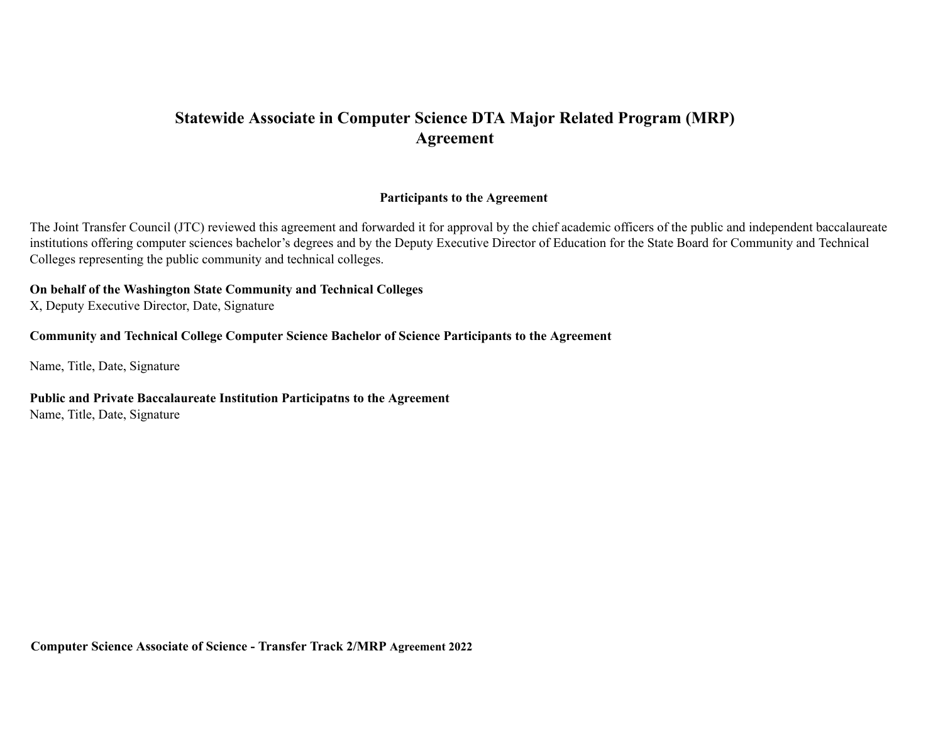# **Statewide Associate in Computer Science DTA Major Related Program (MRP) Agreement**

### **Participants to the Agreement**

The Joint Transfer Council (JTC) reviewed this agreement and forwarded it for approval by the chief academic officers of the public and independent baccalaureate institutions offering computer sciences bachelor's degrees and by the Deputy Executive Director of Education for the State Board for Community and Technical Colleges representing the public community and technical colleges.

# **On behalf of the Washington State Community and Technical Colleges**

X, Deputy Executive Director, Date, Signature

### **Community and Technical College Computer Science Bachelor of Science Participants to the Agreement**

Name, Title, Date, Signature

**Public and Private Baccalaureate Institution Participatns to the Agreement** Name, Title, Date, Signature